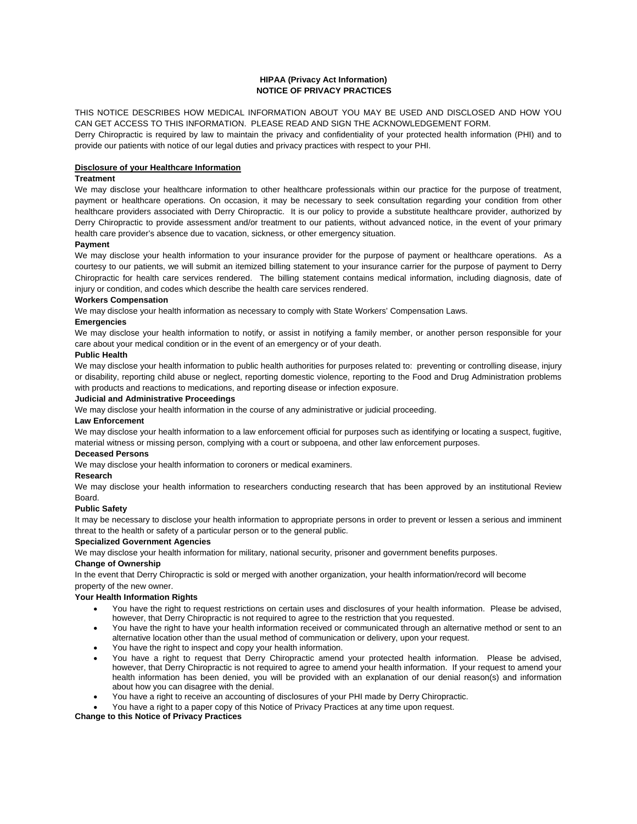## **HIPAA (Privacy Act Information) NOTICE OF PRIVACY PRACTICES**

THIS NOTICE DESCRIBES HOW MEDICAL INFORMATION ABOUT YOU MAY BE USED AND DISCLOSED AND HOW YOU CAN GET ACCESS TO THIS INFORMATION. PLEASE READ AND SIGN THE ACKNOWLEDGEMENT FORM. Derry Chiropractic is required by law to maintain the privacy and confidentiality of your protected health information (PHI) and to provide our patients with notice of our legal duties and privacy practices with respect to your PHI.

#### **Disclosure of your Healthcare Information**

## **Treatment**

We may disclose your healthcare information to other healthcare professionals within our practice for the purpose of treatment, payment or healthcare operations. On occasion, it may be necessary to seek consultation regarding your condition from other healthcare providers associated with Derry Chiropractic. It is our policy to provide a substitute healthcare provider, authorized by Derry Chiropractic to provide assessment and/or treatment to our patients, without advanced notice, in the event of your primary health care provider's absence due to vacation, sickness, or other emergency situation.

#### **Payment**

We may disclose your health information to your insurance provider for the purpose of payment or healthcare operations. As a courtesy to our patients, we will submit an itemized billing statement to your insurance carrier for the purpose of payment to Derry Chiropractic for health care services rendered. The billing statement contains medical information, including diagnosis, date of injury or condition, and codes which describe the health care services rendered.

#### **Workers Compensation**

We may disclose your health information as necessary to comply with State Workers' Compensation Laws.

# **Emergencies**

We may disclose your health information to notify, or assist in notifying a family member, or another person responsible for your care about your medical condition or in the event of an emergency or of your death.

#### **Public Health**

We may disclose your health information to public health authorities for purposes related to: preventing or controlling disease, injury or disability, reporting child abuse or neglect, reporting domestic violence, reporting to the Food and Drug Administration problems with products and reactions to medications, and reporting disease or infection exposure.

#### **Judicial and Administrative Proceedings**

We may disclose your health information in the course of any administrative or judicial proceeding.

#### **Law Enforcement**

We may disclose your health information to a law enforcement official for purposes such as identifying or locating a suspect, fugitive, material witness or missing person, complying with a court or subpoena, and other law enforcement purposes.

## **Deceased Persons**

We may disclose your health information to coroners or medical examiners.

## **Research**

We may disclose your health information to researchers conducting research that has been approved by an institutional Review Board.

# **Public Safety**

It may be necessary to disclose your health information to appropriate persons in order to prevent or lessen a serious and imminent threat to the health or safety of a particular person or to the general public.

## **Specialized Government Agencies**

We may disclose your health information for military, national security, prisoner and government benefits purposes.

#### **Change of Ownership**

In the event that Derry Chiropractic is sold or merged with another organization, your health information/record will become property of the new owner.

## **Your Health Information Rights**

- You have the right to request restrictions on certain uses and disclosures of your health information. Please be advised, however, that Derry Chiropractic is not required to agree to the restriction that you requested.
- You have the right to have your health information received or communicated through an alternative method or sent to an alternative location other than the usual method of communication or delivery, upon your request.
- You have the right to inspect and copy your health information.
- You have a right to request that Derry Chiropractic amend your protected health information. Please be advised, however, that Derry Chiropractic is not required to agree to amend your health information. If your request to amend your health information has been denied, you will be provided with an explanation of our denial reason(s) and information about how you can disagree with the denial.
- You have a right to receive an accounting of disclosures of your PHI made by Derry Chiropractic.
- You have a right to a paper copy of this Notice of Privacy Practices at any time upon request.

#### **Change to this Notice of Privacy Practices**